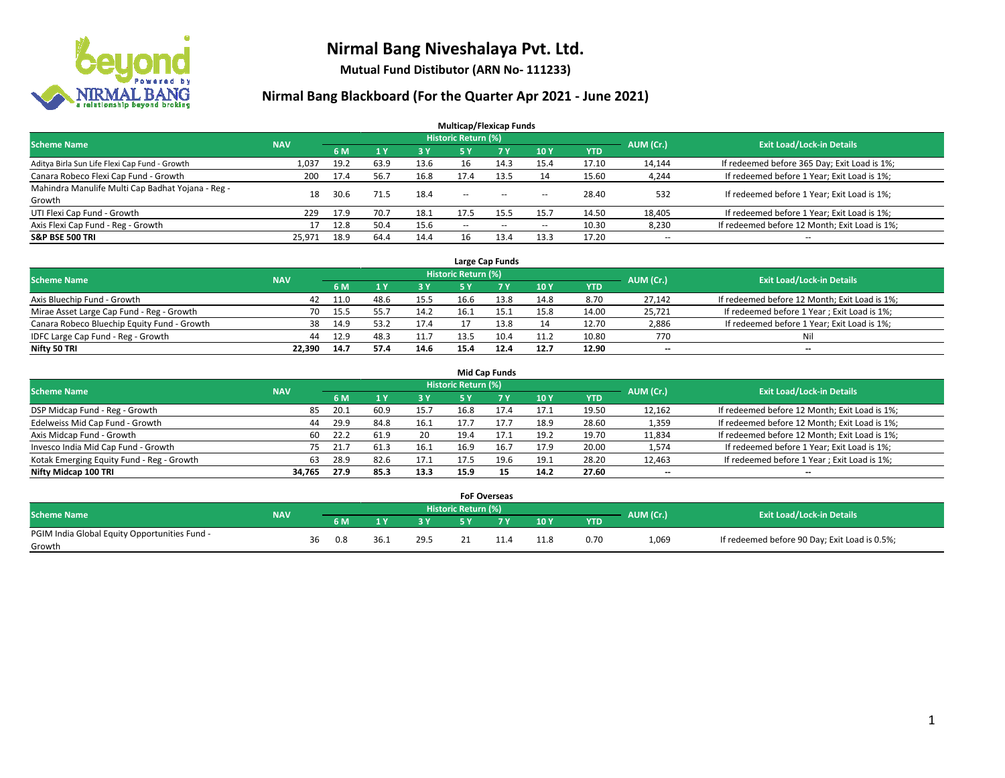

**Mutual Fund Distibutor (ARN No- 111233)**

| <b>Multicap/Flexicap Funds</b>                    |            |      |                |      |                            |            |                          |            |                          |                                               |  |  |  |
|---------------------------------------------------|------------|------|----------------|------|----------------------------|------------|--------------------------|------------|--------------------------|-----------------------------------------------|--|--|--|
| <b>Scheme Name</b>                                | <b>NAV</b> |      |                |      | <b>Historic Return (%)</b> |            |                          |            | AUM (Cr.)                | <b>Exit Load/Lock-in Details</b>              |  |  |  |
|                                                   |            | 6 M  | 1 <sub>Y</sub> | 3 Y  | 5 Y                        | <b>7 Y</b> | 10Y                      | <b>YTD</b> |                          |                                               |  |  |  |
| Aditya Birla Sun Life Flexi Cap Fund - Growth     | 1,037      | 19.2 | 63.9           | 13.6 | 16                         | 14.3       | 15.4                     | 17.10      | 14,144                   | If redeemed before 365 Day; Exit Load is 1%;  |  |  |  |
| Canara Robeco Flexi Cap Fund - Growth             | 200        | 17.4 | 56.7           | 16.8 | 17.4                       | 13.5       | 14                       | 15.60      | 4,244                    | If redeemed before 1 Year; Exit Load is 1%;   |  |  |  |
| Mahindra Manulife Multi Cap Badhat Yojana - Reg - | 18         | 30.6 | 71.5           | 18.4 | $\sim$ $\sim$              |            |                          | 28.40      | 532                      | If redeemed before 1 Year; Exit Load is 1%;   |  |  |  |
| Growth                                            |            |      |                |      |                            | $- -$      | $\overline{\phantom{a}}$ |            |                          |                                               |  |  |  |
| UTI Flexi Cap Fund - Growth                       | 229        | 17.9 | 70.7           | 18.1 | 17.5                       | 15.5       | 15.7                     | 14.50      | 18,405                   | If redeemed before 1 Year; Exit Load is 1%;   |  |  |  |
| Axis Flexi Cap Fund - Reg - Growth                | 17         | 12.8 | 50.4           | 15.6 | $\overline{\phantom{a}}$   | $\sim$     | $\overline{\phantom{a}}$ | 10.30      | 8,230                    | If redeemed before 12 Month; Exit Load is 1%; |  |  |  |
| <b>S&amp;P BSE 500 TRI</b>                        | 25.971     | 18.9 | 64.4           | 14.4 | 16                         | 13.4       | 13.3                     | 17.20      | $\overline{\phantom{a}}$ | $- -$                                         |  |  |  |

|                                             |            |            |      |      |                     | Large Cap Funds |      |            |           |                                               |
|---------------------------------------------|------------|------------|------|------|---------------------|-----------------|------|------------|-----------|-----------------------------------------------|
| <b>Scheme Name</b>                          | <b>NAV</b> |            |      |      | Historic Return (%) |                 |      |            | AUM (Cr.) | <b>Exit Load/Lock-in Details</b>              |
|                                             |            | 6 M        |      | 3 Y  |                     |                 | 10Y  | <b>YTD</b> |           |                                               |
| Axis Bluechip Fund - Growth                 | 42         | 11.0       | 48.6 | 15.5 | 16.6                | 13.8            | 14.8 | 8.70       | 27,142    | If redeemed before 12 Month; Exit Load is 1%; |
| Mirae Asset Large Cap Fund - Reg - Growth   |            | 70<br>15.5 |      | 14.2 | 16.1                |                 | 15.8 | 14.00      | 25,721    | If redeemed before 1 Year; Exit Load is 1%;   |
| Canara Robeco Bluechip Equity Fund - Growth | 38         | 14.9       | 53.2 | 17.4 |                     | 13.8            | 14   | 12.70      | 2,886     | If redeemed before 1 Year; Exit Load is 1%;   |
| IDFC Large Cap Fund - Reg - Growth          | 44         | 12.9       | 48.3 | 11.7 | 13.5                |                 | 11.2 | 10.80      | 770       | Nil                                           |
| Nifty 50 TRI                                | 22.390     | 14.7       | 57.4 | 14.6 | 15.4                | 12.4            | 12.7 | 12.90      | $- -$     | $-$                                           |

| <b>Mid Cap Funds</b>                      |            |           |                                  |      |      |      |           |      |            |                          |                                               |  |  |  |
|-------------------------------------------|------------|-----------|----------------------------------|------|------|------|-----------|------|------------|--------------------------|-----------------------------------------------|--|--|--|
| <b>Scheme Name</b>                        | <b>NAV</b> | AUM (Cr.) | <b>Exit Load/Lock-in Details</b> |      |      |      |           |      |            |                          |                                               |  |  |  |
|                                           |            |           | 6 M                              |      | 3V   | 5 Y  | <b>7Y</b> | 10Y  | <b>YTD</b> |                          |                                               |  |  |  |
| DSP Midcap Fund - Reg - Growth            |            | 85        | 20.1                             | 60.9 | 15.7 | 16.8 | 17.4      | 17.1 | 19.50      | 12,162                   | If redeemed before 12 Month; Exit Load is 1%; |  |  |  |
| Edelweiss Mid Cap Fund - Growth           |            | 44        | 29.9                             | 84.8 | 16.1 | 17.7 | 17.7      | 18.9 | 28.60      | 1,359                    | If redeemed before 12 Month; Exit Load is 1%; |  |  |  |
| Axis Midcap Fund - Growth                 |            | 60        | 22.2                             | 61.9 | 20   | 19.4 | 17.1      | 19.2 | 19.70      | 11,834                   | If redeemed before 12 Month; Exit Load is 1%; |  |  |  |
| Invesco India Mid Cap Fund - Growth       |            | 75        | -21.7                            | 61.3 | 16.1 | 16.9 | 16.7      | 17.9 | 20.00      | 1,574                    | If redeemed before 1 Year; Exit Load is 1%;   |  |  |  |
| Kotak Emerging Equity Fund - Reg - Growth |            | 63        | 28.9                             | 82.6 | 17.1 | 17.5 | 19.6      | 19.1 | 28.20      | 12,463                   | If redeemed before 1 Year; Exit Load is 1%;   |  |  |  |
| Nifty Midcap 100 TRI                      | 34.765     |           | 27.9                             | 85.3 | 13.3 | 15.9 | 15        | 14.2 | 27.60      | $\overline{\phantom{m}}$ | $\overline{\phantom{a}}$                      |  |  |  |

|                                                         |            |    |     |      |      |                     | <b>FoF Overseas</b> |      |            |           |                                               |
|---------------------------------------------------------|------------|----|-----|------|------|---------------------|---------------------|------|------------|-----------|-----------------------------------------------|
| Scheme Name                                             | <b>NAV</b> |    |     |      |      | Historic Return (%) |                     |      |            | AUM (Cr.) | <b>Exit Load/Lock-in Details</b>              |
|                                                         |            |    | 6 M |      |      |                     |                     | 10Y  | <b>YTD</b> |           |                                               |
| PGIM India Global Equity Opportunities Fund -<br>Growth |            | 36 | 0.8 | 36.1 | 29.5 |                     |                     | 11.8 | 0.70       | 1,069     | If redeemed before 90 Day; Exit Load is 0.5%; |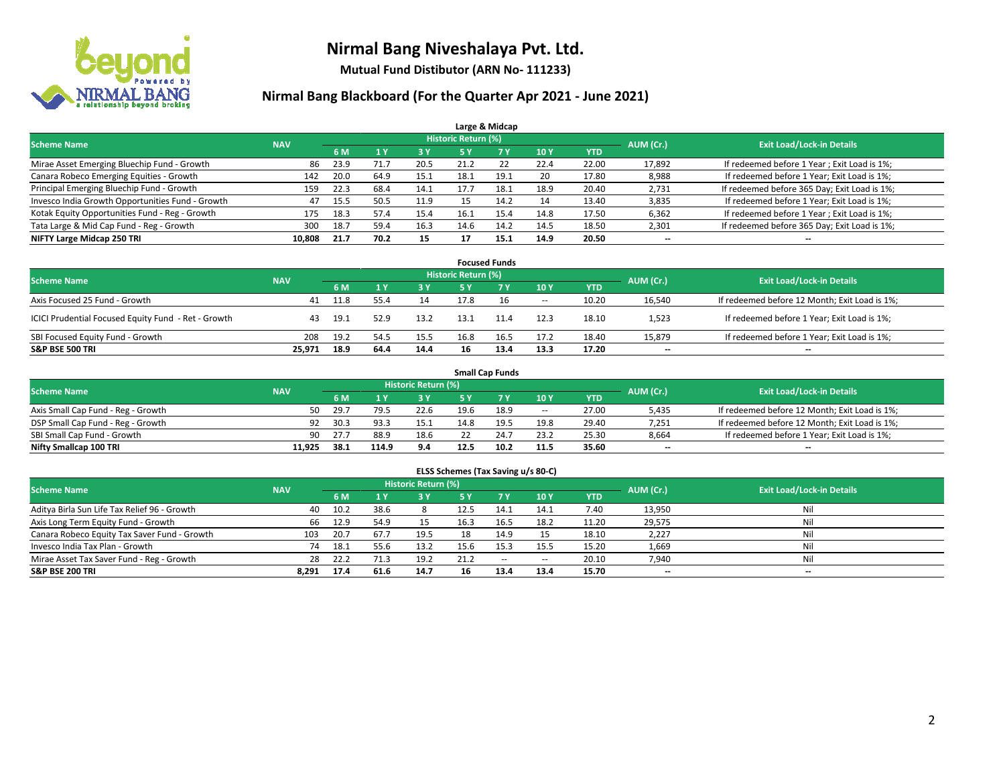

**Mutual Fund Distibutor (ARN No- 111233)**

| Large & Midcap                                   |            |      |      |      |                            |      |      |            |           |                                              |  |  |  |  |
|--------------------------------------------------|------------|------|------|------|----------------------------|------|------|------------|-----------|----------------------------------------------|--|--|--|--|
| <b>Scheme Name</b>                               | <b>NAV</b> |      |      |      | <b>Historic Return (%)</b> |      |      |            | AUM (Cr.) | <b>Exit Load/Lock-in Details</b>             |  |  |  |  |
|                                                  |            | 6 M  |      | 3 Y  | 5 Y                        | 7 Y  | 10Y  | <b>YTD</b> |           |                                              |  |  |  |  |
| Mirae Asset Emerging Bluechip Fund - Growth      | 86         | 23.9 | 71.7 | 20.5 | 21.2                       | 22   | 22.4 | 22.00      | 17,892    | If redeemed before 1 Year; Exit Load is 1%;  |  |  |  |  |
| Canara Robeco Emerging Equities - Growth         | 142        | 20.0 | 64.9 | 15.1 | 18.1                       | 19.1 | 20   | 17.80      | 8,988     | If redeemed before 1 Year; Exit Load is 1%;  |  |  |  |  |
| Principal Emerging Bluechip Fund - Growth        | 159        | 22.3 | 68.4 | 14.1 | 17.7                       | 18.1 | 18.9 | 20.40      | 2,731     | If redeemed before 365 Day; Exit Load is 1%; |  |  |  |  |
| Invesco India Growth Opportunities Fund - Growth | 47         | 15.5 | 50.5 | 11.9 |                            | 14.2 | 14   | 13.40      | 3,835     | If redeemed before 1 Year; Exit Load is 1%;  |  |  |  |  |
| Kotak Equity Opportunities Fund - Reg - Growth   | 175        | 18.3 | 57.4 | 15.4 | 16.1                       | 15.4 | 14.8 | 17.50      | 6,362     | If redeemed before 1 Year; Exit Load is 1%;  |  |  |  |  |
| Tata Large & Mid Cap Fund - Reg - Growth         | 300        | 18.7 | 59.4 | 16.3 | 14.6                       | 14.2 | 14.5 | 18.50      | 2,301     | If redeemed before 365 Day; Exit Load is 1%; |  |  |  |  |
| NIFTY Large Midcap 250 TRI                       | 10,808     | 21.7 | 70.2 | 15   |                            | 15.1 | 14.9 | 20.50      | --        | --                                           |  |  |  |  |

| <b>Focused Funds</b>                                |            |      |      |      |                     |      |        |            |           |                                               |  |  |  |
|-----------------------------------------------------|------------|------|------|------|---------------------|------|--------|------------|-----------|-----------------------------------------------|--|--|--|
| <b>Scheme Name</b>                                  | <b>NAV</b> |      |      |      | Historic Return (%) |      |        |            | AUM (Cr.) | <b>Exit Load/Lock-in Details</b>              |  |  |  |
|                                                     |            | 6 M  |      | 73 Y | 5 Y                 |      | 10Y    | <b>YTD</b> |           |                                               |  |  |  |
| Axis Focused 25 Fund - Growth                       | 41         | 11.8 | 55.4 | 14   | 17.8                | 16   | $\sim$ | 10.20      | 16,540    | If redeemed before 12 Month; Exit Load is 1%; |  |  |  |
| ICICI Prudential Focused Equity Fund - Ret - Growth | 43         | 19.1 | 52.9 | 13.2 | 13.1                | 11.4 | 12.3   | 18.10      | 1,523     | If redeemed before 1 Year; Exit Load is 1%;   |  |  |  |
| SBI Focused Equity Fund - Growth                    | 208        | 19.2 | 54.5 | 15.5 | 16.8                | 16.5 | 17.2   | 18.40      | 15,879    | If redeemed before 1 Year; Exit Load is 1%;   |  |  |  |
| <b>S&amp;P BSE 500 TRI</b>                          | 25.971     | 18.9 | 64.4 | 14.4 | 16                  | 13.4 | 13.3   | 17.20      | $- -$     | $\overline{\phantom{a}}$                      |  |  |  |

| <b>Small Cap Funds</b>             |            |            |                                  |             |      |      |                          |       |                          |                                               |  |  |  |
|------------------------------------|------------|------------|----------------------------------|-------------|------|------|--------------------------|-------|--------------------------|-----------------------------------------------|--|--|--|
| <b>Scheme Name</b>                 | <b>NAV</b> | AUM (Cr.)  | <b>Exit Load/Lock-in Details</b> |             |      |      |                          |       |                          |                                               |  |  |  |
|                                    |            | 6 M        |                                  | <b>3 Y.</b> | 5 V  |      | 10Y                      | YTD   |                          |                                               |  |  |  |
| Axis Small Cap Fund - Reg - Growth |            | 29.7<br>50 | 79.5                             | 22.6        | 19.6 | 18.9 | $\overline{\phantom{a}}$ | 27.00 | 5,435                    | If redeemed before 12 Month; Exit Load is 1%; |  |  |  |
| DSP Small Cap Fund - Reg - Growth  |            | 30.3<br>92 | 93.3                             | 15.1        | 14.8 | 19.5 | 19.8                     | 29.40 | 7,251                    | If redeemed before 12 Month; Exit Load is 1%; |  |  |  |
| SBI Small Cap Fund - Growth        |            | 27.7<br>90 | 88.9                             | 18.6        |      | 24.7 | 23.2                     | 25.30 | 8,664                    | If redeemed before 1 Year; Exit Load is 1%;   |  |  |  |
| Nifty Smallcap 100 TRI             | 11.925     | 38.1       | 114.9                            | 9.4         | 12.5 | 10.2 | 11.5                     | 35.60 | $\overline{\phantom{a}}$ | --                                            |  |  |  |

| ELSS Schemes (Tax Saving u/s 80-C)                                                                       |       |      |      |      |           |           |       |            |        |                          |  |  |  |  |
|----------------------------------------------------------------------------------------------------------|-------|------|------|------|-----------|-----------|-------|------------|--------|--------------------------|--|--|--|--|
| Historic Return (%)<br><b>Exit Load/Lock-in Details</b><br><b>Scheme Name</b><br>AUM (Cr.)<br><b>NAV</b> |       |      |      |      |           |           |       |            |        |                          |  |  |  |  |
|                                                                                                          |       | 6 M  | 1Y   | 3 Y  | <b>5Y</b> | <b>7Y</b> | 10Y   | <b>YTD</b> |        |                          |  |  |  |  |
| Aditya Birla Sun Life Tax Relief 96 - Growth                                                             | 40    | 10.2 | 38.6 |      | 12.5      | 14.1      | 14.1  | 7.40       | 13,950 | Nil                      |  |  |  |  |
| Axis Long Term Equity Fund - Growth                                                                      | 66    | 12.9 | 54.9 |      | 16.3      | 16.5      | 18.2  | 11.20      | 29,575 | Nil                      |  |  |  |  |
| Canara Robeco Equity Tax Saver Fund - Growth                                                             | 103   | 20.7 | 67.7 | 19.5 |           | 14.9      | 15    | 18.10      | 2,227  | Nil                      |  |  |  |  |
| Invesco India Tax Plan - Growth                                                                          | 74    | 18.1 | 55.6 | 13.2 | 15.6      | 15.3      | 15.5  | 15.20      | 1,669  | Nil                      |  |  |  |  |
| Mirae Asset Tax Saver Fund - Reg - Growth                                                                | 28    | 22.2 | 71.3 | 19.2 | 21.2      | $\sim$    | $\!-$ | 20.10      | 7,940  | Nil                      |  |  |  |  |
| S&P BSE 200 TRI                                                                                          | 8.291 | 17.4 | 61.6 | 14.7 |           | 13.4      | 13.4  | 15.70      | $- -$  | $\overline{\phantom{a}}$ |  |  |  |  |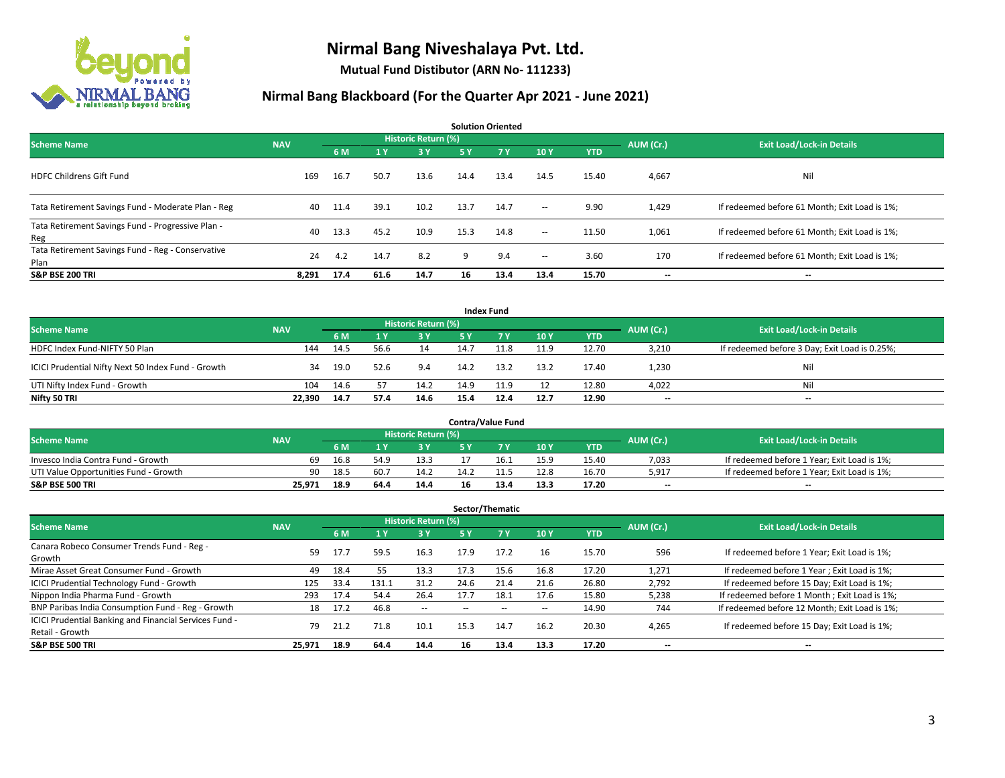

**Mutual Fund Distibutor (ARN No- 111233)**

| <b>Solution Oriented</b>                                  |            |      |      |                            |           |           |        |            |           |                                               |  |  |
|-----------------------------------------------------------|------------|------|------|----------------------------|-----------|-----------|--------|------------|-----------|-----------------------------------------------|--|--|
| <b>Scheme Name</b>                                        | <b>NAV</b> |      |      | <b>Historic Return (%)</b> |           |           |        |            | AUM (Cr.) | <b>Exit Load/Lock-in Details</b>              |  |  |
|                                                           |            | 6 M  | 1Y   | 3 Y                        | <b>5Y</b> | <b>7Y</b> | 10Y    | <b>YTD</b> |           |                                               |  |  |
| <b>HDFC Childrens Gift Fund</b>                           | 169        | 16.7 | 50.7 | 13.6                       | 14.4      | 13.4      | 14.5   | 15.40      | 4,667     | Nil                                           |  |  |
| Tata Retirement Savings Fund - Moderate Plan - Reg        | 40         | 11.4 | 39.1 | 10.2                       | 13.7      | 14.7      | $\sim$ | 9.90       | 1,429     | If redeemed before 61 Month; Exit Load is 1%; |  |  |
| Tata Retirement Savings Fund - Progressive Plan -<br>Reg  | 40         | 13.3 | 45.2 | 10.9                       | 15.3      | 14.8      | $ -$   | 11.50      | 1,061     | If redeemed before 61 Month; Exit Load is 1%; |  |  |
| Tata Retirement Savings Fund - Reg - Conservative<br>Plan | 24         | 4.2  | 14.7 | 8.2                        | 9         | 9.4       | $ -$   | 3.60       | 170       | If redeemed before 61 Month; Exit Load is 1%; |  |  |
| <b>S&amp;P BSE 200 TRI</b>                                | 8.291      | 17.4 | 61.6 | 14.7                       | 16        | 13.4      | 13.4   | 15.70      | --        | $\overline{\phantom{a}}$                      |  |  |

|                                                    |            |                                  |      |           |      | <b>Index Fund</b> |      |            |       |                                               |
|----------------------------------------------------|------------|----------------------------------|------|-----------|------|-------------------|------|------------|-------|-----------------------------------------------|
| <b>Scheme Name</b>                                 | AUM (Cr.)  | <b>Exit Load/Lock-in Details</b> |      |           |      |                   |      |            |       |                                               |
|                                                    | <b>NAV</b> | 6 M                              |      | <b>3Y</b> | 5 Y  | <b>AT Y</b>       | 10Y  | <b>YTD</b> |       |                                               |
| HDFC Index Fund-NIFTY 50 Plan                      | 144        | 14.5                             | 56.6 | 14        | 14.7 | 11.8              | 11.9 | 12.70      | 3,210 | If redeemed before 3 Day; Exit Load is 0.25%; |
| ICICI Prudential Nifty Next 50 Index Fund - Growth | 34         | 19.0                             | 52.6 | 9.4       | 14.2 | 13.2              | 13.2 | 17.40      | 1.230 | Nil                                           |
| UTI Nifty Index Fund - Growth                      | 104        | 14.6                             |      | 14.2      | 14.9 | 11.9              | 12   | 12.80      | 4,022 | Nil                                           |
| Nifty 50 TRI                                       | 22,390     | 14.7                             | 57.4 | 14.6      | 15.4 | 12.4              | 12.7 | 12.90      | $- -$ | $\overline{\phantom{a}}$                      |

|                                       |            |      |                  |                            |      | <b>Contra/Value Fund</b> |      |            |           |                                             |
|---------------------------------------|------------|------|------------------|----------------------------|------|--------------------------|------|------------|-----------|---------------------------------------------|
| <b>Scheme Name</b>                    | <b>NAV</b> |      |                  | <b>Historic Return (%)</b> |      |                          |      |            | AUM (Cr.) | <b>Exit Load/Lock-in Details</b>            |
|                                       |            | 6 M  |                  | 3 Y                        |      | 7 V                      | 10Y  | <b>YTD</b> |           |                                             |
| Invesco India Contra Fund - Growth    | 69         | 16.8 | 54. <sup>o</sup> | 13.3                       |      | 16.1                     | 15.9 | 15.40      | 7,033     | If redeemed before 1 Year; Exit Load is 1%; |
| UTI Value Opportunities Fund - Growth | 90         | 18.5 | 60.7             | 14.2                       | 14.2 |                          | 12.8 | 16.70      | 5,917     | If redeemed before 1 Year; Exit Load is 1%; |
| <b>S&amp;P BSE 500 TRI</b>            | 25,971     | 18.9 | 64.4             | 14.4                       |      | 13.4                     | 13.3 | 17.20      | $- -$     | $-$                                         |

| Sector/Thematic                                                           |            |      |                |                          |      |      |      |            |           |                                               |  |  |
|---------------------------------------------------------------------------|------------|------|----------------|--------------------------|------|------|------|------------|-----------|-----------------------------------------------|--|--|
| <b>Scheme Name</b>                                                        | <b>NAV</b> |      |                | Historic Return (%)      |      |      |      |            | AUM (Cr.) | <b>Exit Load/Lock-in Details</b>              |  |  |
|                                                                           |            | 6 M  | 4 <sub>Y</sub> | <b>3Y</b>                | 5 Y  | 7Y   | 10Y  | <b>YTD</b> |           |                                               |  |  |
| Canara Robeco Consumer Trends Fund - Reg -<br>Growth                      | 59         | 17.7 | 59.5           | 16.3                     | 17.9 | 17.2 | 16   | 15.70      | 596       | If redeemed before 1 Year; Exit Load is 1%;   |  |  |
| Mirae Asset Great Consumer Fund - Growth                                  | 49         | 18.4 | 55             | 13.3                     | 17.3 | 15.6 | 16.8 | 17.20      | 1,271     | If redeemed before 1 Year; Exit Load is 1%;   |  |  |
| <b>ICICI Prudential Technology Fund - Growth</b>                          | 125        | 33.4 | 131.1          | 31.2                     | 24.6 | 21.4 | 21.6 | 26.80      | 2,792     | If redeemed before 15 Day; Exit Load is 1%;   |  |  |
| Nippon India Pharma Fund - Growth                                         | 293        | 17.4 | 54.4           | 26.4                     | 17.7 | 18.1 | 17.6 | 15.80      | 5,238     | If redeemed before 1 Month; Exit Load is 1%;  |  |  |
| BNP Paribas India Consumption Fund - Reg - Growth                         | 18         | 17.2 | 46.8           | $\overline{\phantom{a}}$ |      |      | --   | 14.90      | 744       | If redeemed before 12 Month; Exit Load is 1%; |  |  |
| ICICI Prudential Banking and Financial Services Fund -<br>Retail - Growth | 79         | 21.2 | 71.8           | 10.1                     | 15.3 | 14.7 | 16.2 | 20.30      | 4,265     | If redeemed before 15 Day; Exit Load is 1%;   |  |  |
| <b>S&amp;P BSE 500 TRI</b>                                                | 25,971     | 18.9 | 64.4           | 14.4                     | 16   | 13.4 | 13.3 | 17.20      | --        | --                                            |  |  |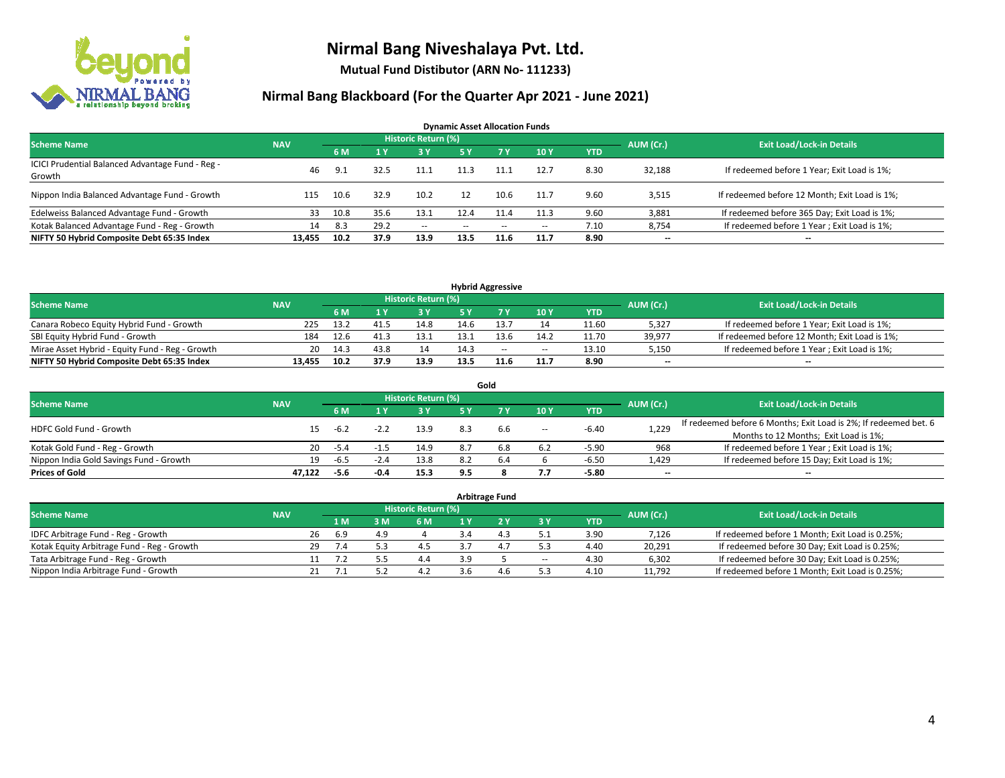

**Mutual Fund Distibutor (ARN No- 111233)**

| <b>Dynamic Asset Allocation Funds</b>                      |            |      |      |                            |      |        |       |            |           |                                               |  |  |  |
|------------------------------------------------------------|------------|------|------|----------------------------|------|--------|-------|------------|-----------|-----------------------------------------------|--|--|--|
| <b>Scheme Name</b>                                         | <b>NAV</b> |      |      | <b>Historic Return (%)</b> |      |        |       |            | AUM (Cr.) | <b>Exit Load/Lock-in Details</b>              |  |  |  |
|                                                            |            | 6 M  |      | 3 Y                        | 5 Y  | 7 Y    | 10Y   | <b>YTD</b> |           |                                               |  |  |  |
| ICICI Prudential Balanced Advantage Fund - Reg -<br>Growth | 46         | 9.1  | 32.5 |                            | 11.3 | 11.1   | 12.7  | 8.30       | 32,188    | If redeemed before 1 Year; Exit Load is 1%;   |  |  |  |
| Nippon India Balanced Advantage Fund - Growth              | 115        | 10.6 | 32.9 | 10.2                       | 12   | 10.6   | 11.7  | 9.60       | 3,515     | If redeemed before 12 Month; Exit Load is 1%; |  |  |  |
| Edelweiss Balanced Advantage Fund - Growth                 | 33         | 10.8 | 35.6 | 13.1                       | 12.4 | 11.4   | 11.3  | 9.60       | 3,881     | If redeemed before 365 Day; Exit Load is 1%;  |  |  |  |
| Kotak Balanced Advantage Fund - Reg - Growth               | 14         | 8.3  | 29.2 | $\sim$                     | --   | $\sim$ | $\!-$ | 7.10       | 8,754     | If redeemed before 1 Year; Exit Load is 1%;   |  |  |  |
| NIFTY 50 Hybrid Composite Debt 65:35 Index                 | 13.455     | 10.2 | 37.9 | 13.9                       | 13.5 | 11.6   | 11.7  | 8.90       | $- -$     | --                                            |  |  |  |

| <b>Hybrid Aggressive</b>                        |            |      |      |                     |      |        |        |            |           |                                               |  |  |  |
|-------------------------------------------------|------------|------|------|---------------------|------|--------|--------|------------|-----------|-----------------------------------------------|--|--|--|
| <b>Scheme Name</b>                              | <b>NAV</b> |      |      | Historic Return (%) |      |        |        |            | AUM (Cr.) | <b>Exit Load/Lock-in Details</b>              |  |  |  |
|                                                 |            | 6 M  |      | 3 Y                 |      |        | 10Y    | <b>YTD</b> |           |                                               |  |  |  |
| Canara Robeco Equity Hybrid Fund - Growth       | 225        | 13.2 | 41.5 | 14.8                | 14.6 |        | 14     | 11.60      | 5,327     | If redeemed before 1 Year; Exit Load is 1%;   |  |  |  |
| SBI Equity Hybrid Fund - Growth                 | 184        | 12.6 | 41.3 | 13.1                | 13.1 |        | 14.2   | 11.70      | 39.977    | If redeemed before 12 Month; Exit Load is 1%; |  |  |  |
| Mirae Asset Hybrid - Equity Fund - Reg - Growth | 20         | 14.3 | 43.8 | 14                  | 14.3 | $\sim$ | $\sim$ | 13.10      | 5,150     | If redeemed before 1 Year; Exit Load is 1%;   |  |  |  |
| NIFTY 50 Hybrid Composite Debt 65:35 Index      | 13.455     | 10.2 | 37.9 | 13.9                | 13.5 |        | 11.7   | 8.90       | $-$       | $- -$                                         |  |  |  |

| Gold                                    |            |        |        |                     |     |     |                          |            |           |                                                                  |  |  |  |
|-----------------------------------------|------------|--------|--------|---------------------|-----|-----|--------------------------|------------|-----------|------------------------------------------------------------------|--|--|--|
| <b>Scheme Name</b>                      | <b>NAV</b> |        |        | Historic Return (%) |     |     |                          |            | AUM (Cr.) | <b>Exit Load/Lock-in Details</b>                                 |  |  |  |
|                                         |            | 6 M    |        | 73 Y.               | 5 Y |     | <b>10Y</b>               | <b>YTD</b> |           |                                                                  |  |  |  |
| <b>HDFC Gold Fund - Growth</b>          |            | -6.2   | $-2.2$ | 13.9                | 8.3 | 6.6 | $\overline{\phantom{a}}$ | $-6.40$    | 1,229     | If redeemed before 6 Months; Exit Load is 2%; If redeemed bet. 6 |  |  |  |
|                                         |            |        |        |                     |     |     |                          |            |           | Months to 12 Months; Exit Load is 1%;                            |  |  |  |
| Kotak Gold Fund - Reg - Growth          | 20         | $-5.4$ |        | 14.9                | 8.7 | 6.8 | 6.2                      | $-5.90$    | 968       | If redeemed before 1 Year; Exit Load is 1%;                      |  |  |  |
| Nippon India Gold Savings Fund - Growth | 19         | -6.5   | -2.4   | 13.8                | 8.2 | 6.4 |                          | $-6.50$    | 1,429     | If redeemed before 15 Day; Exit Load is 1%;                      |  |  |  |
| <b>Prices of Gold</b>                   | 47.122     | -5.6   | $-0.4$ | 15.3                | 9.5 |     | 7.7                      | $-5.80$    | --        | $\overline{\phantom{a}}$                                         |  |  |  |

| <b>Arbitrage Fund</b>                      |            |           |                                  |     |     |     |     |        |            |        |                                                 |  |  |
|--------------------------------------------|------------|-----------|----------------------------------|-----|-----|-----|-----|--------|------------|--------|-------------------------------------------------|--|--|
| <b>Scheme Name</b>                         | <b>NAV</b> | AUM (Cr.) | <b>Exit Load/Lock-in Details</b> |     |     |     |     |        |            |        |                                                 |  |  |
|                                            |            |           | $\overline{1}$ M                 | 3 M | 6 M |     |     | 3 Y    | <b>YTD</b> |        |                                                 |  |  |
| IDFC Arbitrage Fund - Reg - Growth         |            | 26        | 6.9                              | 4.9 |     |     | 4.3 | .      | 3.90       | 7,126  | If redeemed before 1 Month; Exit Load is 0.25%; |  |  |
| Kotak Equity Arbitrage Fund - Reg - Growth |            | 29        | 7.4                              |     | 4.5 |     | 4.7 |        | 4.40       | 20,291 | If redeemed before 30 Day; Exit Load is 0.25%;  |  |  |
| Tata Arbitrage Fund - Reg - Growth         |            |           |                                  |     | 4.4 | 3.9 |     | $\sim$ | 4.30       | 6,302  | If redeemed before 30 Day; Exit Load is 0.25%;  |  |  |
| Nippon India Arbitrage Fund - Growth       |            |           |                                  |     | 4.2 |     | 4.6 |        | 4.10       | 11,792 | If redeemed before 1 Month; Exit Load is 0.25%; |  |  |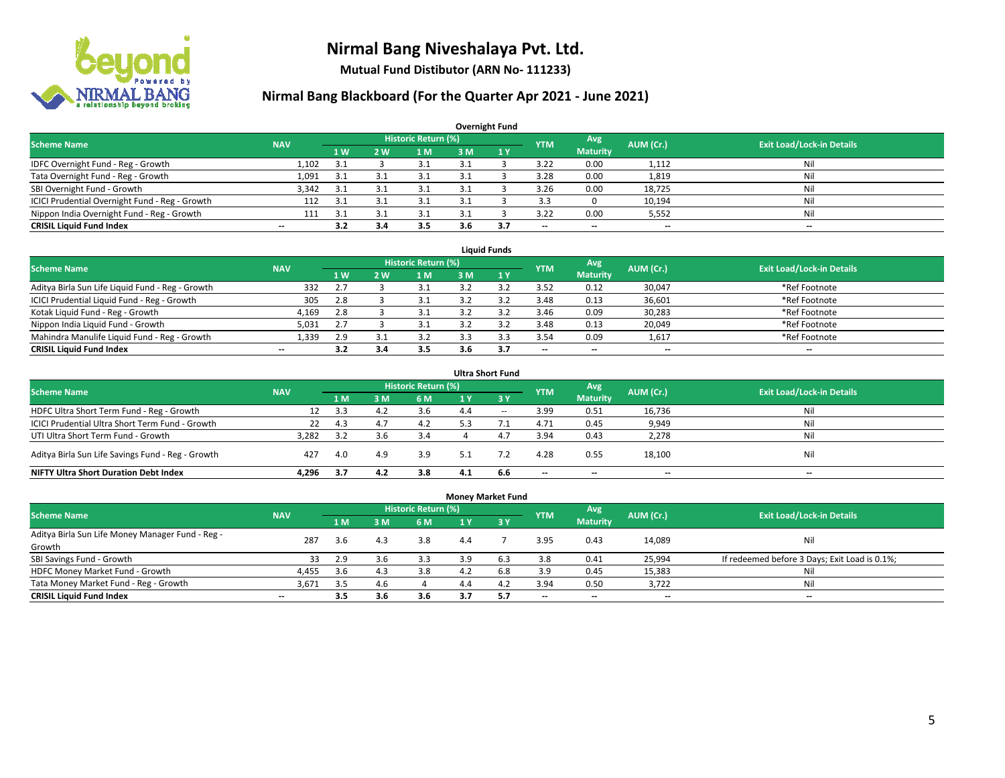

**Mutual Fund Distibutor (ARN No- 111233)**

| <b>Overnight Fund</b>                          |                          |     |     |                            |     |     |            |                          |           |                                  |  |  |  |  |
|------------------------------------------------|--------------------------|-----|-----|----------------------------|-----|-----|------------|--------------------------|-----------|----------------------------------|--|--|--|--|
| <b>Scheme Name</b>                             | <b>NAV</b>               |     |     | <b>Historic Return (%)</b> |     |     | <b>YTM</b> | Avg                      | AUM (Cr.) | <b>Exit Load/Lock-in Details</b> |  |  |  |  |
|                                                |                          | 1 W | 2 W | l M                        | 3 M | 1Y  |            | <b>Maturity</b>          |           |                                  |  |  |  |  |
| IDFC Overnight Fund - Reg - Growth             | 1,102                    | 3.1 |     |                            |     |     | 3.22       | 0.00                     | 1,112     | Nil                              |  |  |  |  |
| Tata Overnight Fund - Reg - Growth             | 1,091                    | 3.1 | 3.1 | 3.1                        |     |     | 3.28       | 0.00                     | 1,819     | Nil                              |  |  |  |  |
| SBI Overnight Fund - Growth                    | 3,342                    | 3.1 |     | 3.1                        |     |     | 3.26       | 0.00                     | 18,725    | Nil                              |  |  |  |  |
| ICICI Prudential Overnight Fund - Reg - Growth | 112                      | 3.1 |     |                            |     |     | 3.3        |                          | 10,194    | Nil                              |  |  |  |  |
| Nippon India Overnight Fund - Reg - Growth     | 111                      | 3.1 |     |                            |     |     | 3.22       | 0.00                     | 5,552     | Nil                              |  |  |  |  |
| <b>CRISIL Liquid Fund Index</b>                | $\overline{\phantom{a}}$ | 3.2 | 3.4 | 3.5                        | 3.6 | 3.7 | --         | $\overline{\phantom{a}}$ | $- -$     | $-$                              |  |  |  |  |

| <b>Liauid Funds</b>                              |            |     |           |                     |     |  |                          |                          |           |                                  |  |  |  |
|--------------------------------------------------|------------|-----|-----------|---------------------|-----|--|--------------------------|--------------------------|-----------|----------------------------------|--|--|--|
| Scheme Name                                      | <b>NAV</b> |     |           | Historic Return (%) |     |  | <b>YTM</b>               | Avg                      | AUM (Cr.) | <b>Exit Load/Lock-in Details</b> |  |  |  |
|                                                  |            | 1 W | <b>2W</b> | 1 M                 | зM  |  |                          | <b>Maturity</b>          |           |                                  |  |  |  |
| Aditya Birla Sun Life Liquid Fund - Reg - Growth | 332        |     |           |                     |     |  | 3.52                     | 0.12                     | 30,047    | *Ref Footnote                    |  |  |  |
| ICICI Prudential Liquid Fund - Reg - Growth      | 305        | 2.8 |           |                     |     |  | 3.48                     | 0.13                     | 36,601    | *Ref Footnote                    |  |  |  |
| Kotak Liquid Fund - Reg - Growth                 | 4,169      | 2.8 |           |                     |     |  | 3.46                     | 0.09                     | 30,283    | *Ref Footnote                    |  |  |  |
| Nippon India Liquid Fund - Growth                | 5,031      |     |           |                     |     |  | 3.48                     | 0.13                     | 20,049    | *Ref Footnote                    |  |  |  |
| Mahindra Manulife Liquid Fund - Reg - Growth     | 1,339      | 2.9 |           |                     |     |  | 3.54                     | 0.09                     | 1,617     | *Ref Footnote                    |  |  |  |
| <b>CRISIL Liquid Fund Index</b>                  | $- -$      |     | 5.0       | 3.5                 | 3.6 |  | $\overline{\phantom{a}}$ | $\overline{\phantom{a}}$ | $- -$     | $\overline{\phantom{a}}$         |  |  |  |

| <b>Ultra Short Fund</b>                                                                                                              |       |      |     |     |     |                               |                          |                          |        |     |  |  |  |  |
|--------------------------------------------------------------------------------------------------------------------------------------|-------|------|-----|-----|-----|-------------------------------|--------------------------|--------------------------|--------|-----|--|--|--|--|
| <b>Historic Return (%)</b><br>Avg<br><b>Exit Load/Lock-in Details</b><br>AUM (Cr.)<br><b>Scheme Name</b><br><b>NAV</b><br><b>YTM</b> |       |      |     |     |     |                               |                          |                          |        |     |  |  |  |  |
|                                                                                                                                      |       | 1 M  | 3 M | 6 M | 1 Y | $\overline{3}$ $\overline{Y}$ |                          | <b>Maturity</b>          |        |     |  |  |  |  |
| HDFC Ultra Short Term Fund - Reg - Growth                                                                                            | 12    | 3.3  | 4.2 | 3.6 | 4.4 | $\sim$                        | 3.99                     | 0.51                     | 16,736 | Nil |  |  |  |  |
| ICICI Prudential Ultra Short Term Fund - Growth                                                                                      | 22    | 4.3  | 4.7 | 4.2 | 5.3 |                               | 4.71                     | 0.45                     | 9,949  | Nil |  |  |  |  |
| UTI Ultra Short Term Fund - Growth                                                                                                   | 3.282 | 3.2  |     | 3.4 |     | 4.7                           | 3.94                     | 0.43                     | 2,278  | Ni  |  |  |  |  |
| Aditya Birla Sun Life Savings Fund - Reg - Growth                                                                                    | 427   | 4.0  | 4.9 | 3.9 | 5.1 |                               | 4.28                     | 0.55                     | 18,100 | Nil |  |  |  |  |
| <b>NIFTY Ultra Short Duration Debt Index</b>                                                                                         | 4.296 | -3.7 | 4.2 | 3.8 | 4.1 | 6.6                           | $\overline{\phantom{a}}$ | $\overline{\phantom{a}}$ | $- -$  | $-$ |  |  |  |  |

| <b>Money Market Fund</b>                         |                          |     |     |                     |                |           |            |                 |           |                                               |  |  |  |  |
|--------------------------------------------------|--------------------------|-----|-----|---------------------|----------------|-----------|------------|-----------------|-----------|-----------------------------------------------|--|--|--|--|
| <b>Scheme Name</b>                               | <b>NAV</b>               |     |     | Historic Return (%) |                |           | <b>YTM</b> | Avg             | AUM (Cr.) | <b>Exit Load/Lock-in Details</b>              |  |  |  |  |
|                                                  |                          | 1 M | 3M  | <b>6M</b>           | 1 <sub>Y</sub> | $Z$ 3 $V$ |            | <b>Maturity</b> |           |                                               |  |  |  |  |
| Aditya Birla Sun Life Money Manager Fund - Reg - | 287                      | 3.6 | 4.3 | 3.8                 | 4.4            |           | 3.95       | 0.43            | 14,089    | Nil                                           |  |  |  |  |
| Growth                                           |                          |     |     |                     |                |           |            |                 |           |                                               |  |  |  |  |
| SBI Savings Fund - Growth                        | 33                       | 2.9 | 3.6 | 3.3                 | 3.9            | 6.3       | 3.8        | 0.41            | 25,994    | If redeemed before 3 Days; Exit Load is 0.1%; |  |  |  |  |
| HDFC Money Market Fund - Growth                  | 4,455                    | 3.6 | 4.3 | 3.8                 | 4.2            | 6.8       | 3.9        | 0.45            | 15,383    | Nil                                           |  |  |  |  |
| Tata Money Market Fund - Reg - Growth            | 3,671                    | 3.5 | 4.6 |                     | 4.4            | 4.2       | 3.94       | 0.50            | 3,722     | Nil                                           |  |  |  |  |
| <b>CRISIL Liquid Fund Index</b>                  | $\overline{\phantom{a}}$ | 3.5 | 3.6 | 3.6                 | 3.7            | -5.7      | --         | $- -$           | $- -$     | $-$                                           |  |  |  |  |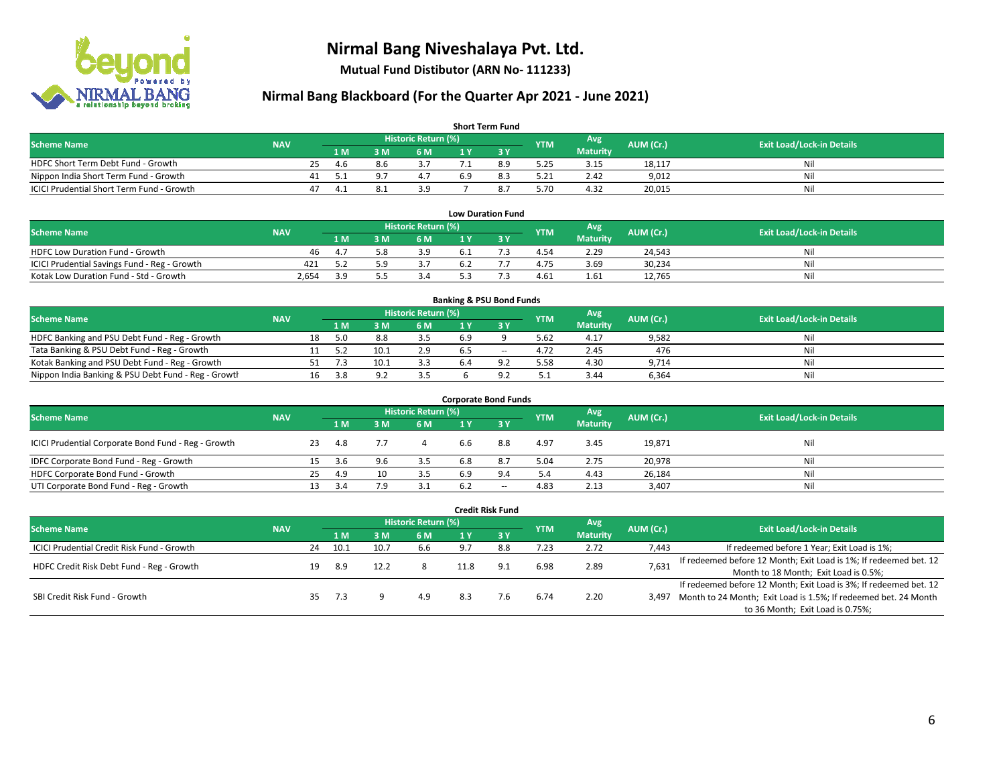

**Mutual Fund Distibutor (ARN No- 111233)**

| <b>Short Term Fund</b>                    |            |    |      |     |                            |     |     |            |                 |           |                                  |  |  |
|-------------------------------------------|------------|----|------|-----|----------------------------|-----|-----|------------|-----------------|-----------|----------------------------------|--|--|
| <b>Scheme Name</b>                        | <b>NAV</b> |    |      |     | <b>Historic Return (%)</b> |     |     | <b>YTM</b> | Avg             | AUM (Cr.) | <b>Exit Load/Lock-in Details</b> |  |  |
|                                           |            |    | 1 M. | 3 M | 6 M                        | 1 V |     |            | <b>Maturity</b> |           |                                  |  |  |
| HDFC Short Term Debt Fund - Growth        |            | 25 | 4.6  | 8.6 |                            |     | 8.9 | 5.25       | 3.15            | 18,117    | Nil                              |  |  |
| Nippon India Short Term Fund - Growth     |            | 41 |      |     |                            | 6.9 |     | 5.21       | 2.42            | 9,012     | Nil                              |  |  |
| ICICI Prudential Short Term Fund - Growth |            | 47 | 4.1  |     | 3.9                        |     |     | 5.70       | 4.32            | 20,015    | Nil                              |  |  |

| <b>Low Duration Fund</b>                     |            |     |  |                     |     |  |            |                 |           |                                  |  |  |  |
|----------------------------------------------|------------|-----|--|---------------------|-----|--|------------|-----------------|-----------|----------------------------------|--|--|--|
| <b>Scheme Name</b>                           | <b>NAV</b> |     |  | Historic Return (%) |     |  | <b>YTM</b> | Avg             | AUM (Cr.) | <b>Exit Load/Lock-in Details</b> |  |  |  |
|                                              |            | 1 M |  | 6 M                 |     |  |            | <b>Maturity</b> |           |                                  |  |  |  |
| HDFC Low Duration Fund - Growth              | 46         | 4.7 |  | 3.9                 | b.1 |  | 4.54       | 2.29            | 24.543    | Nil                              |  |  |  |
| ICICI Prudential Savings Fund - Reg - Growth | 421        | ר ה |  | י ג                 | b.4 |  | 4.75       | 3.69            | 30,234    | Nil                              |  |  |  |
| Kotak Low Duration Fund - Std - Growth       | 2,654      | 2 Q |  |                     |     |  | 4.61       | 1.61            | 12.765    | Nil                              |  |  |  |

| <b>Banking &amp; PSU Bond Funds</b>                 |            |                                      |      |          |                     |     |  |            |      |           |                                  |  |  |
|-----------------------------------------------------|------------|--------------------------------------|------|----------|---------------------|-----|--|------------|------|-----------|----------------------------------|--|--|
| <b>Scheme Name</b>                                  | <b>NAV</b> |                                      |      |          | Historic Return (%) |     |  | <b>YTM</b> | Avg  | AUM (Cr.) | <b>Exit Load/Lock-in Details</b> |  |  |
|                                                     |            | <b>Maturity</b><br>6 M<br>: M<br>1 M |      |          |                     |     |  |            |      |           |                                  |  |  |
| HDFC Banking and PSU Debt Fund - Reg - Growth       |            | 18                                   |      | 8.8      |                     | 6.9 |  | 5.62       | 4.17 | 9,582     | Nil                              |  |  |
| Tata Banking & PSU Debt Fund - Reg - Growth         |            |                                      |      |          | 2.9                 |     |  | 4.72       | 2.45 | 476       | Nil                              |  |  |
| Kotak Banking and PSU Debt Fund - Reg - Growth      |            |                                      |      | 10.1     | 3.3                 | 6.4 |  | 5.58       | 4.30 | 9.714     | Nil                              |  |  |
| Nippon India Banking & PSU Debt Fund - Reg - Growth |            | 16                                   | -3.8 | $\Omega$ |                     |     |  | ل .        | 3.44 | 6,364     | Nil                              |  |  |

| <b>Corporate Bond Funds</b>                         |            |    |     |     |                            |     |             |            |                 |           |                                  |  |  |  |
|-----------------------------------------------------|------------|----|-----|-----|----------------------------|-----|-------------|------------|-----------------|-----------|----------------------------------|--|--|--|
|                                                     | <b>NAV</b> |    |     |     | <b>Historic Return (%)</b> |     |             | <b>YTM</b> | Avg             | AUM (Cr.) | <b>Exit Load/Lock-in Details</b> |  |  |  |
| <b>Scheme Name</b>                                  |            |    | 1 M | M   | 6 M                        | 1 Y | <b>73 Y</b> |            | <b>Maturity</b> |           |                                  |  |  |  |
| ICICI Prudential Corporate Bond Fund - Reg - Growth |            | 23 | 4.8 |     |                            | b.b | 8.8         | 4.97       | 3.45            | 19,871    | Nil                              |  |  |  |
| IDFC Corporate Bond Fund - Reg - Growth             |            |    | 3.6 | 9.6 | 3.5                        | 6.8 | 8.7         | 5.04       | 2.75            | 20,978    | Nil                              |  |  |  |
| HDFC Corporate Bond Fund - Growth                   |            | 25 | 4.9 | 10  | 3.5                        | 6.9 | 9.4         | 5.4        | 4.43            | 26,184    | Nil                              |  |  |  |
| UTI Corporate Bond Fund - Reg - Growth              |            |    | 3.4 |     | 3.1                        | 6.2 | $- -$       | 4.83       | 2.13            | 3,407     | Nil                              |  |  |  |

| Credit Risk Fund                           |            |    |      |      |     |                            |        |            |                 |           |                                                                       |  |  |  |
|--------------------------------------------|------------|----|------|------|-----|----------------------------|--------|------------|-----------------|-----------|-----------------------------------------------------------------------|--|--|--|
| <b>Scheme Name</b>                         | <b>NAV</b> |    |      |      |     | <b>Historic Return (%)</b> |        |            | Avg             | AUM (Cr.) | <b>Exit Load/Lock-in Details</b>                                      |  |  |  |
|                                            |            |    | 1 M  | sм   | 6 M | 1 Y                        | $Z_3V$ | <b>YTM</b> | <b>Maturity</b> |           |                                                                       |  |  |  |
| ICICI Prudential Credit Risk Fund - Growth |            | 24 | 10.1 | 10.7 | 6.6 |                            | 8.8    | 7.23       | 2.72            | 7,443     | If redeemed before 1 Year; Exit Load is 1%;                           |  |  |  |
|                                            |            | 19 | 8.9  |      |     | 11.8                       | 9.1    | 6.98       | 2.89            | 7,631     | If redeemed before 12 Month; Exit Load is 1%; If redeemed bet. 12     |  |  |  |
| HDFC Credit Risk Debt Fund - Reg - Growth  |            |    |      |      |     |                            |        |            |                 |           | Month to 18 Month; Exit Load is 0.5%;                                 |  |  |  |
|                                            |            |    |      |      |     |                            |        |            |                 |           | If redeemed before 12 Month; Exit Load is 3%; If redeemed bet. 12     |  |  |  |
| SBI Credit Risk Fund - Growth              |            | 35 | 7.3  |      | 4.9 | 8.3                        | 7.6    | 6.74       | 2.20            |           | 3,497 Month to 24 Month; Exit Load is 1.5%; If redeemed bet. 24 Month |  |  |  |
|                                            |            |    |      |      |     |                            |        |            |                 |           | to 36 Month; Exit Load is 0.75%;                                      |  |  |  |